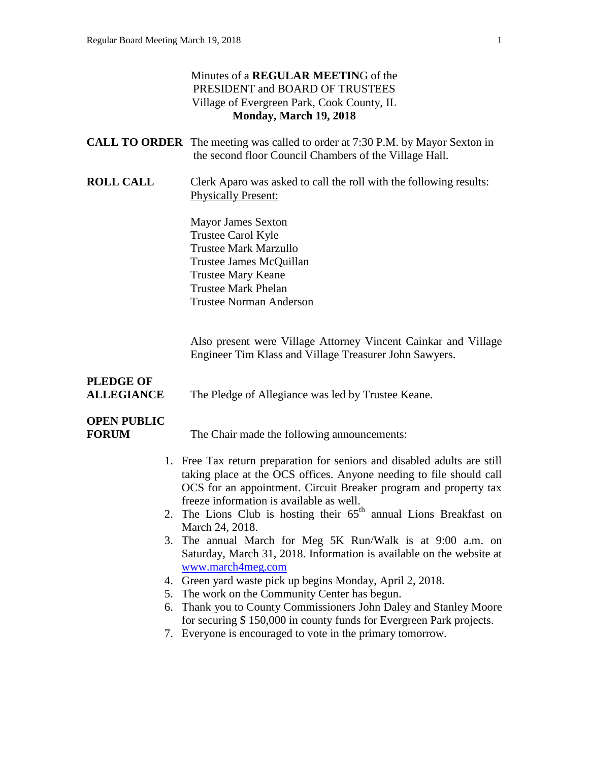#### Minutes of a **REGULAR MEETIN**G of the PRESIDENT and BOARD OF TRUSTEES Village of Evergreen Park, Cook County, IL **Monday, March 19, 2018**

|                                       | <b>CALL TO ORDER</b> The meeting was called to order at 7:30 P.M. by Mayor Sexton in<br>the second floor Council Chambers of the Village Hall.                                                                      |  |
|---------------------------------------|---------------------------------------------------------------------------------------------------------------------------------------------------------------------------------------------------------------------|--|
| <b>ROLL CALL</b>                      | Clerk Aparo was asked to call the roll with the following results:<br><b>Physically Present:</b>                                                                                                                    |  |
|                                       | <b>Mayor James Sexton</b><br>Trustee Carol Kyle<br><b>Trustee Mark Marzullo</b><br>Trustee James McQuillan<br><b>Trustee Mary Keane</b><br><b>Trustee Mark Phelan</b><br><b>Trustee Norman Anderson</b>             |  |
|                                       | Also present were Village Attorney Vincent Cainkar and Village<br>Engineer Tim Klass and Village Treasurer John Sawyers.                                                                                            |  |
| <b>PLEDGE OF</b><br><b>ALLEGIANCE</b> | The Pledge of Allegiance was led by Trustee Keane.                                                                                                                                                                  |  |
| <b>OPEN PUBLIC</b><br><b>FORUM</b>    | The Chair made the following announcements:                                                                                                                                                                         |  |
|                                       | 1. Free Tax return preparation for seniors and disabled adults are still<br>taking place at the OCS offices. Anyone needing to file should call<br>OCS for an appointment. Circuit Breaker program and property tax |  |
|                                       | freeze information is available as well.<br>2. The Lions Club is hosting their $65th$ annual Lions Breakfast on<br>March 24, 2018.                                                                                  |  |
|                                       | 3. The annual March for Meg 5K Run/Walk is at 9:00 a.m. on<br>Saturday, March 31, 2018. Information is available on the website at                                                                                  |  |
|                                       | www.march4meg.com<br>4. Green yard waste pick up begins Monday, April 2, 2018.                                                                                                                                      |  |
|                                       | 5. The work on the Community Center has begun.                                                                                                                                                                      |  |
|                                       | 6. Thank you to County Commissioners John Daley and Stanley Moore                                                                                                                                                   |  |
|                                       | for securing \$150,000 in county funds for Evergreen Park projects.<br>7. Everyone is encouraged to vote in the primary tomorrow.                                                                                   |  |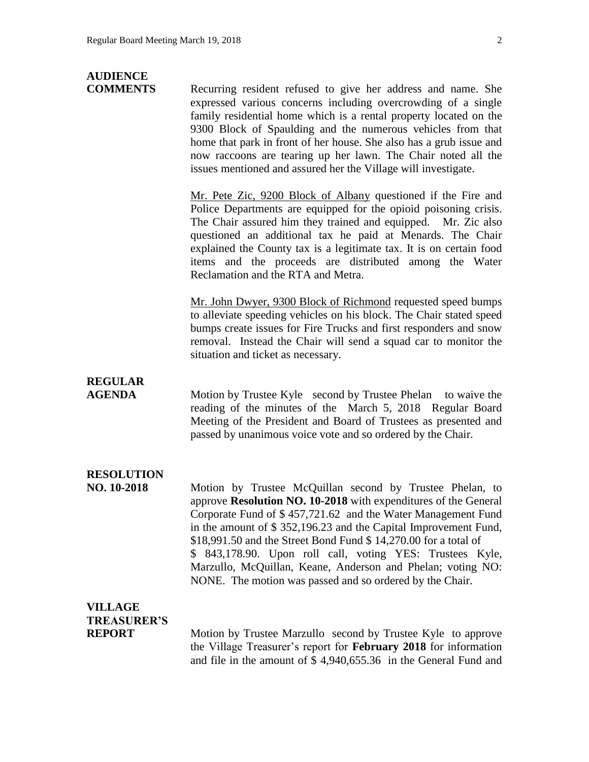# **AUDIENCE**

**COMMENTS** Recurring resident refused to give her address and name. She expressed various concerns including overcrowding of a single family residential home which is a rental property located on the 9300 Block of Spaulding and the numerous vehicles from that home that park in front of her house. She also has a grub issue and now raccoons are tearing up her lawn. The Chair noted all the issues mentioned and assured her the Village will investigate.

> Mr. Pete Zic, 9200 Block of Albany questioned if the Fire and Police Departments are equipped for the opioid poisoning crisis. The Chair assured him they trained and equipped. Mr. Zic also questioned an additional tax he paid at Menards. The Chair explained the County tax is a legitimate tax. It is on certain food items and the proceeds are distributed among the Water Reclamation and the RTA and Metra.

> Mr. John Dwyer, 9300 Block of Richmond requested speed bumps to alleviate speeding vehicles on his block. The Chair stated speed bumps create issues for Fire Trucks and first responders and snow removal. Instead the Chair will send a squad car to monitor the situation and ticket as necessary.

## **REGULAR**

**AGENDA** Motion by Trustee Kyle second by Trustee Phelan to waive the reading of the minutes of the March 5, 2018 Regular Board Meeting of the President and Board of Trustees as presented and passed by unanimous voice vote and so ordered by the Chair.

## **RESOLUTION**

**NO. 10-2018** Motion by Trustee McQuillan second by Trustee Phelan, to approve **Resolution NO. 10-2018** with expenditures of the General Corporate Fund of \$ 457,721.62 and the Water Management Fund in the amount of \$ 352,196.23 and the Capital Improvement Fund, \$18,991.50 and the Street Bond Fund \$ 14,270.00 for a total of \$ 843,178.90. Upon roll call, voting YES: Trustees Kyle, Marzullo, McQuillan, Keane, Anderson and Phelan; voting NO: NONE. The motion was passed and so ordered by the Chair.

## **VILLAGE TREASURER'S**

**REPORT** Motion by Trustee Marzullo second by Trustee Kyle to approve the Village Treasurer's report for **February 2018** for information and file in the amount of \$ 4,940,655.36 in the General Fund and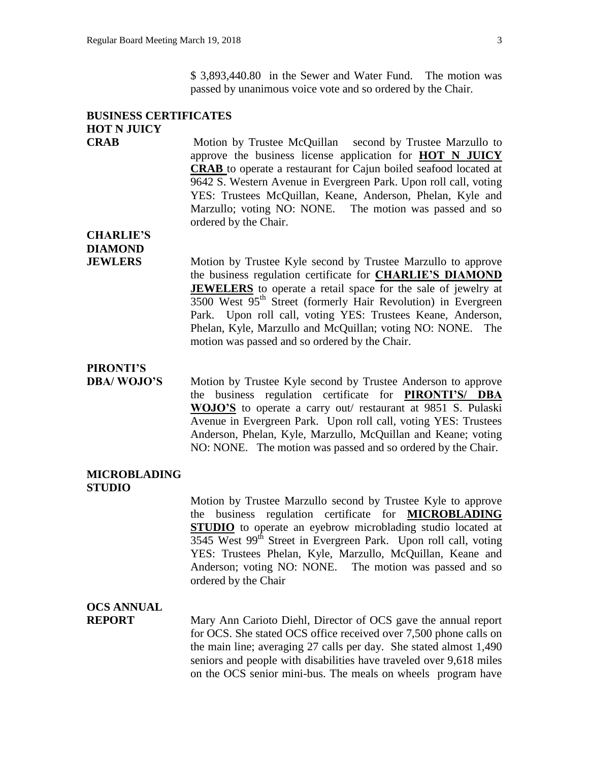\$ 3,893,440.80 in the Sewer and Water Fund. The motion was passed by unanimous voice vote and so ordered by the Chair.

## **BUSINESS CERTIFICATES HOT N JUICY**

**CRAB** Motion by Trustee McQuillan second by Trustee Marzullo to approve the business license application for **HOT N JUICY CRAB** to operate a restaurant for Cajun boiled seafood located at 9642 S. Western Avenue in Evergreen Park. Upon roll call, voting YES: Trustees McQuillan, Keane, Anderson, Phelan, Kyle and Marzullo; voting NO: NONE. The motion was passed and so ordered by the Chair.

## **CHARLIE'S DIAMOND**

**JEWLERS** Motion by Trustee Kyle second by Trustee Marzullo to approve the business regulation certificate for **CHARLIE'S DIAMOND JEWELERS** to operate a retail space for the sale of jewelry at  $3500$  West  $95<sup>th</sup>$  Street (formerly Hair Revolution) in Evergreen Park. Upon roll call, voting YES: Trustees Keane, Anderson, Phelan, Kyle, Marzullo and McQuillan; voting NO: NONE. The motion was passed and so ordered by the Chair.

### **PIRONTI'S**

**DBA/ WOJO'S** Motion by Trustee Kyle second by Trustee Anderson to approve the business regulation certificate for **PIRONTI'S/ DBA WOJO'S** to operate a carry out/ restaurant at 9851 S. Pulaski Avenue in Evergreen Park. Upon roll call, voting YES: Trustees Anderson, Phelan, Kyle, Marzullo, McQuillan and Keane; voting NO: NONE. The motion was passed and so ordered by the Chair.

#### **MICROBLADING STUDIO**

Motion by Trustee Marzullo second by Trustee Kyle to approve the business regulation certificate for **MICROBLADING STUDIO** to operate an eyebrow microblading studio located at 3545 West 99<sup>th</sup> Street in Evergreen Park. Upon roll call, voting YES: Trustees Phelan, Kyle, Marzullo, McQuillan, Keane and Anderson; voting NO: NONE. The motion was passed and so ordered by the Chair

### **OCS ANNUAL**

**REPORT** Mary Ann Carioto Diehl, Director of OCS gave the annual report for OCS. She stated OCS office received over 7,500 phone calls on the main line; averaging 27 calls per day. She stated almost 1,490 seniors and people with disabilities have traveled over 9,618 miles on the OCS senior mini-bus. The meals on wheels program have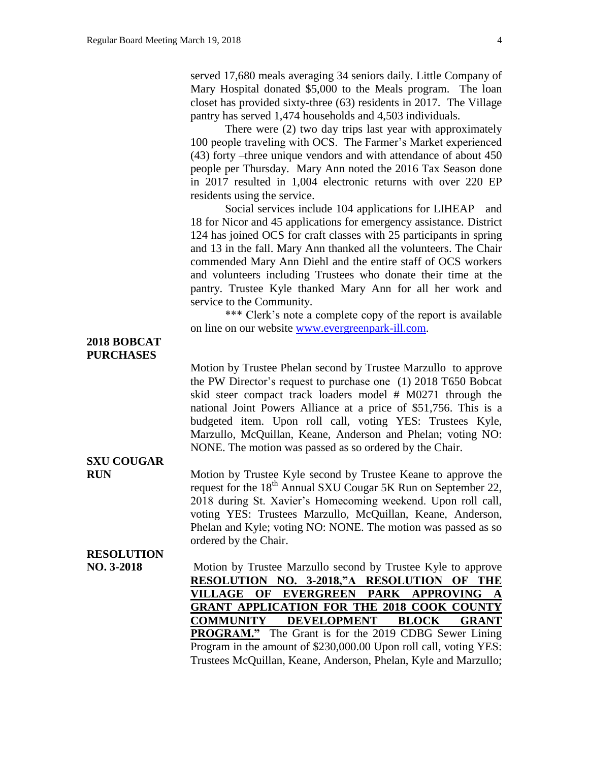served 17,680 meals averaging 34 seniors daily. Little Company of Mary Hospital donated \$5,000 to the Meals program. The loan closet has provided sixty-three (63) residents in 2017. The Village pantry has served 1,474 households and 4,503 individuals.

There were (2) two day trips last year with approximately 100 people traveling with OCS. The Farmer's Market experienced (43) forty –three unique vendors and with attendance of about 450 people per Thursday. Mary Ann noted the 2016 Tax Season done in 2017 resulted in 1,004 electronic returns with over 220 EP residents using the service.

Social services include 104 applications for LIHEAP and 18 for Nicor and 45 applications for emergency assistance. District 124 has joined OCS for craft classes with 25 participants in spring and 13 in the fall. Mary Ann thanked all the volunteers. The Chair commended Mary Ann Diehl and the entire staff of OCS workers and volunteers including Trustees who donate their time at the pantry. Trustee Kyle thanked Mary Ann for all her work and service to the Community.

\*\*\* Clerk's note a complete copy of the report is available on line on our website [www.evergreenpark-ill.com.](http://www.evergreenpark-ill.com/)

#### **2018 BOBCAT PURCHASES**

Motion by Trustee Phelan second by Trustee Marzullo to approve the PW Director's request to purchase one (1) 2018 T650 Bobcat skid steer compact track loaders model # M0271 through the national Joint Powers Alliance at a price of \$51,756. This is a budgeted item. Upon roll call, voting YES: Trustees Kyle, Marzullo, McQuillan, Keane, Anderson and Phelan; voting NO: NONE. The motion was passed as so ordered by the Chair.

**RUN** Motion by Trustee Kyle second by Trustee Keane to approve the request for the 18<sup>th</sup> Annual SXU Cougar 5K Run on September 22, 2018 during St. Xavier's Homecoming weekend. Upon roll call, voting YES: Trustees Marzullo, McQuillan, Keane, Anderson, Phelan and Kyle; voting NO: NONE. The motion was passed as so ordered by the Chair.

## **RESOLUTION**

**SXU COUGAR**

**NO. 3-2018** Motion by Trustee Marzullo second by Trustee Kyle to approve **RESOLUTION NO. 3-2018,"A RESOLUTION OF THE VILLAGE OF EVERGREEN PARK APPROVING A GRANT APPLICATION FOR THE 2018 COOK COUNTY COMMUNITY DEVELOPMENT BLOCK GRANT PROGRAM."** The Grant is for the 2019 CDBG Sewer Lining Program in the amount of \$230,000.00 Upon roll call, voting YES: Trustees McQuillan, Keane, Anderson, Phelan, Kyle and Marzullo;